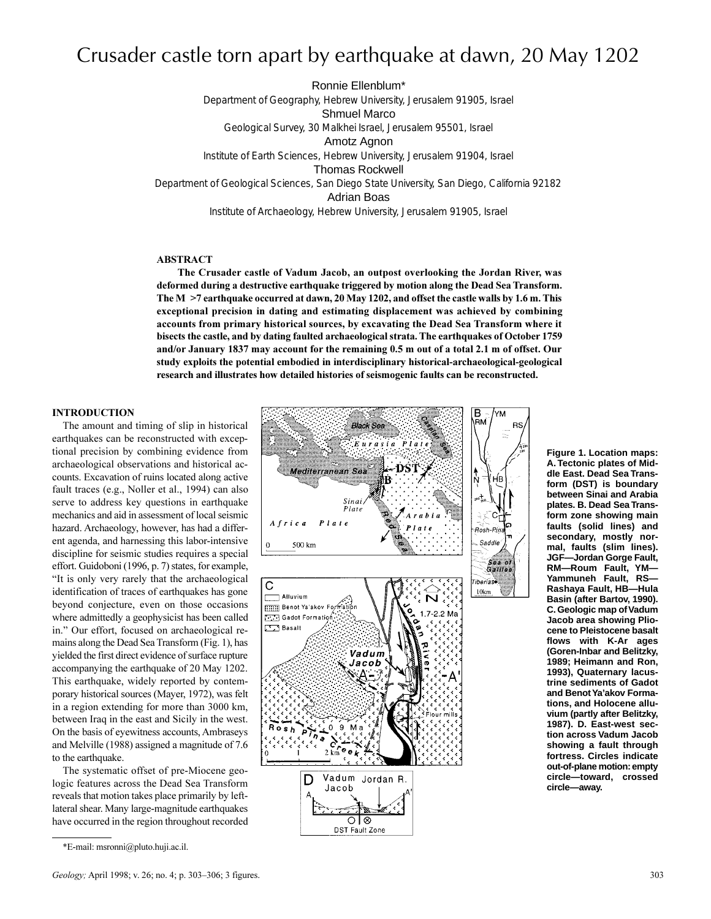# Crusader castle torn apart by earthquake at dawn, 20 May 1202

Ronnie Ellenblum\* Department of Geography, Hebrew University, Jerusalem 91905, Israel Shmuel Marco Geological Survey, 30 Malkhei Israel, Jerusalem 95501, Israel Amotz Agnon Institute of Earth Sciences, Hebrew University, Jerusalem 91904, Israel Thomas Rockwell Department of Geological Sciences, San Diego State University, San Diego, California 92182 Adrian Boas Institute of Archaeology, Hebrew University, Jerusalem 91905, Israel

**ABSTRACT**

**The Crusader castle of Vadum Jacob, an outpost overlooking the Jordan River, was deformed during a destructive earthquake triggered by motion along the Dead Sea Transform. The M >7 earthquake occurred at dawn, 20 May 1202, and offset the castle walls by 1.6 m. This exceptional precision in dating and estimating displacement was achieved by combining accounts from primary historical sources, by excavating the Dead Sea Transform where it bisects the castle, and by dating faulted archaeological strata. The earthquakes of October 1759 and/or January 1837 may account for the remaining 0.5 m out of a total 2.1 m of offset. Our study exploits the potential embodied in interdisciplinary historical-archaeological-geological research and illustrates how detailed histories of seismogenic faults can be reconstructed.**

#### **INTRODUCTION**

The amount and timing of slip in historical earthquakes can be reconstructed with exceptional precision by combining evidence from archaeological observations and historical accounts. Excavation of ruins located along active fault traces (e.g., Noller et al., 1994) can also serve to address key questions in earthquake mechanics and aid in assessment of local seismic hazard. Archaeology, however, has had a different agenda, and harnessing this labor-intensive discipline for seismic studies requires a special effort. Guidoboni (1996, p. 7) states, for example, It is only very rarely that the archaeological identification of traces of earthquakes has gone beyond conjecture, even on those occasions where admittedly a geophysicist has been called in." Our effort, focused on archaeological remains along the Dead Sea Transform (Fig. 1), has yielded the first direct evidence of surface rupture accompanying the earthquake of 20 May 1202. This earthquake, widely reported by contemporary historical sources (Mayer, 1972), was felt in a region extending for more than 3000 km, between Iraq in the east and Sicily in the west. On the basis of eyewitness accounts, Ambraseys and Melville (1988) assigned a magnitude of 7.6 to the earthquake.

The systematic offset of pre-Miocene geologic features across the Dead Sea Transform reveals that motion takes place primarily by leftlateral shear. Many large-magnitude earthquakes have occurred in the region throughout recorded



**Figure 1. Location maps: A. Tectonic plates of Middle East. Dead Sea Transform (DST) is boundary between Sinai and Arabia plates. B. Dead Sea Transform zone showing main faults (solid lines) and secondary, mostly normal, faults (slim lines). JGF—Jordan Gorge Fault, RM—Roum Fault, YM— Yammuneh Fault, RS— Rashaya Fault, HB—Hula Basin (after Bartov, 1990). C. Geologic map of Vadum Jacob area showing Pliocene to Pleistocene basalt flows with K-Ar ages (Goren-Inbar and Belitzky, 1989; Heimann and Ron, 1993), Quaternary lacustrine sediments of Gadot and Benot Ya'akov Formations, and Holocene alluvium (partly after Belitzky, 1987). D. East-west section across Vadum Jacob showing a fault through fortress. Circles indicate out-of-plane motion:empty circle—toward, crossed circle—away.**

**BS** 

<sup>\*</sup>E-mail: msronni@pluto.huji.ac.il.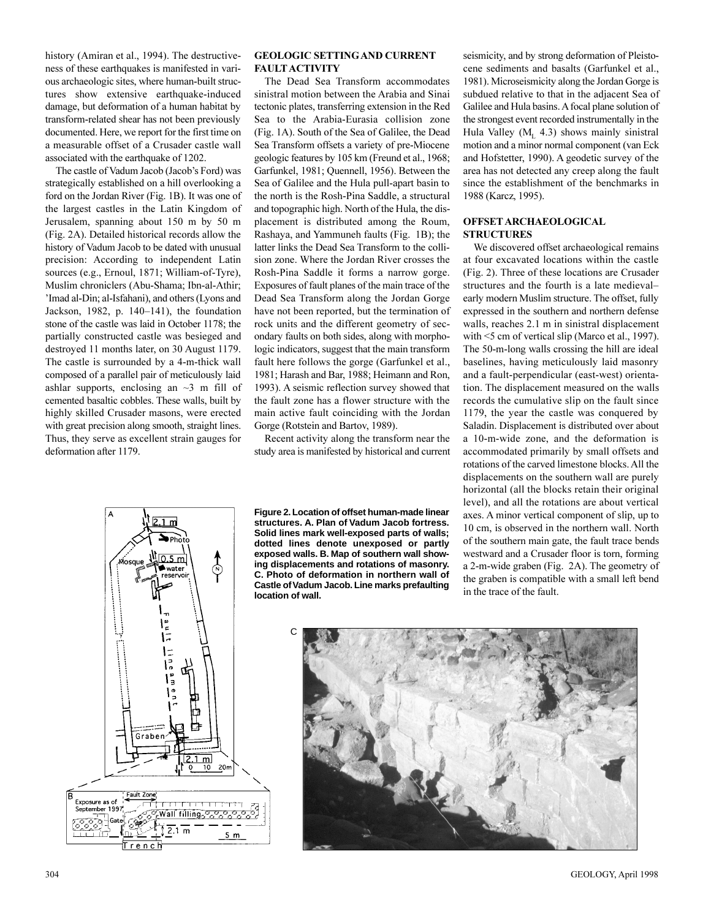history (Amiran et al., 1994). The destructiveness of these earthquakes is manifested in various archaeologic sites, where human-built structures show extensive earthquake-induced damage, but deformation of a human habitat by transform-related shear has not been previously documented. Here, we report for the first time on a measurable offset of a Crusader castle wall associated with the earthquake of 1202.

The castle of Vadum Jacob (Jacob's Ford) was strategically established on a hill overlooking a ford on the Jordan River (Fig. 1B). It was one of the largest castles in the Latin Kingdom of Jerusalem, spanning about 150 m by 50 m (Fig. 2A). Detailed historical records allow the history of Vadum Jacob to be dated with unusual precision: According to independent Latin sources (e.g., Ernoul, 1871; William-of-Tyre), Muslim chroniclers (Abu-Shama; Ibn-al-Athir; 'Imad al-Din; al-Isfahani), and others (Lyons and Jackson, 1982, p.  $140-141$ ), the foundation stone of the castle was laid in October 1178; the partially constructed castle was besieged and destroyed 11 months later, on 30 August 1179. The castle is surrounded by a 4-m-thick wall composed of a parallel pair of meticulously laid ashlar supports, enclosing an  $\sim$ 3 m fill of cemented basaltic cobbles. These walls, built by highly skilled Crusader masons, were erected with great precision along smooth, straight lines. Thus, they serve as excellent strain gauges for deformation after 1179.

# **GEOLOGIC SETTINGAND CURRENT FAULT ACTIVITY**

The Dead Sea Transform accommodates sinistral motion between the Arabia and Sinai tectonic plates, transferring extension in the Red Sea to the Arabia-Eurasia collision zone (Fig. 1A). South of the Sea of Galilee, the Dead Sea Transform offsets a variety of pre-Miocene geologic features by 105 km (Freund et al., 1968; Garfunkel, 1981; Quennell, 1956). Between the Sea of Galilee and the Hula pull-apart basin to the north is the Rosh-Pina Saddle, a structural and topographic high. North of the Hula, the displacement is distributed among the Roum, Rashaya, and Yammuneh faults (Fig. 1B); the latter links the Dead Sea Transform to the collision zone. Where the Jordan River crosses the Rosh-Pina Saddle it forms a narrow gorge. Exposures of fault planes of the main trace of the Dead Sea Transform along the Jordan Gorge have not been reported, but the termination of rock units and the different geometry of secondary faults on both sides, along with morphologic indicators, suggest that the main transform fault here follows the gorge (Garfunkel et al., 1981; Harash and Bar, 1988; Heimann and Ron, 1993). A seismic reflection survey showed that the fault zone has a flower structure with the main active fault coinciding with the Jordan Gorge (Rotstein and Bartov, 1989).

Recent activity along the transform near the study area is manifested by historical and current

**Figure 2. Location of offset human-made linear**

seismicity, and by strong deformation of Pleistocene sediments and basalts (Garfunkel et al., 1981). Microseismicity along the Jordan Gorge is subdued relative to that in the adjacent Sea of Galilee and Hula basins. A focal plane solution of the strongest event recorded instrumentally in the Hula Valley ( $M_L$  4.3) shows mainly sinistral motion and a minor normal component (van Eck and Hofstetter, 1990). A geodetic survey of the area has not detected any creep along the fault since the establishment of the benchmarks in 1988 (Karcz, 1995).

# **OFFSET ARCHAEOLOGICAL STRUCTURES**

We discovered offset archaeological remains at four excavated locations within the castle (Fig. 2). Three of these locations are Crusader structures and the fourth is a late medieval early modern Muslim structure. The offset, fully expressed in the southern and northern defense walls, reaches 2.1 m in sinistral displacement with <5 cm of vertical slip (Marco et al., 1997). The 50-m-long walls crossing the hill are ideal baselines, having meticulously laid masonry and a fault-perpendicular (east-west) orientation. The displacement measured on the walls records the cumulative slip on the fault since 1179, the year the castle was conquered by Saladin. Displacement is distributed over about a 10-m-wide zone, and the deformation is accommodated primarily by small offsets and rotations of the carved limestone blocks. All the displacements on the southern wall are purely horizontal (all the blocks retain their original level), and all the rotations are about vertical axes. A minor vertical component of slip, up to 10 cm, is observed in the northern wall. North of the southern main gate, the fault trace bends westward and a Crusader floor is torn, forming a 2-m-wide graben (Fig. 2A). The geometry of the graben is compatible with a small left bend in the trace of the fault.



**structures. A. Plan of Vadum Jacob fortress. Solid lines mark well-exposed parts of walls; dotted lines denote unexposed or partly exposed walls. B. Map of southern wall showing displacements and rotations of masonry. C. Photo of deformation in northern wall of Castle of Vadum Jacob. Line marks prefaulting location of wall.**

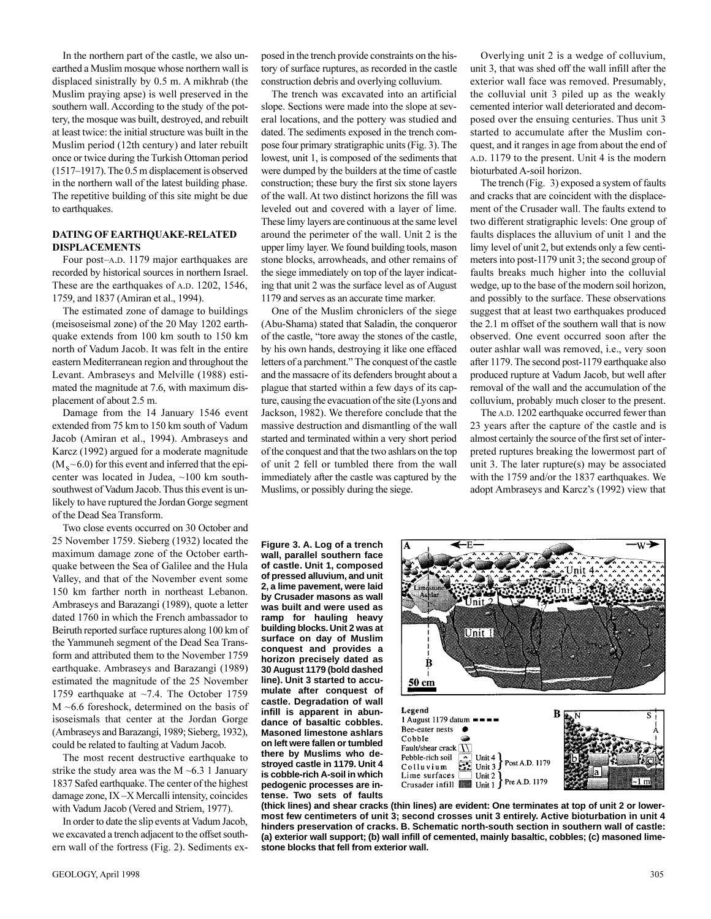In the northern part of the castle, we also unearthed a Muslim mosque whose northern wall is displaced sinistrally by 0.5 m. A mikhrab (the Muslim praying apse) is well preserved in the southern wall. According to the study of the pottery, the mosque was built, destroyed, and rebuilt at least twice: the initial structure was built in the Muslim period (12th century) and later rebuilt once or twice during the Turkish Ottoman period  $(1517–1917)$ . The 0.5 m displacement is observed in the northern wall of the latest building phase. The repetitive building of this site might be due to earthquakes.

#### **DATING OF EARTHQUAKE-RELATED DISPLACEMENTS**

Four post-A.D. 1179 major earthquakes are recorded by historical sources in northern Israel. These are the earthquakes of A.D. 1202, 1546, 1759, and 1837 (Amiran et al., 1994).

The estimated zone of damage to buildings (meisoseismal zone) of the 20 May 1202 earthquake extends from 100 km south to 150 km north of Vadum Jacob. It was felt in the entire eastern Mediterranean region and throughout the Levant. Ambraseys and Melville (1988) estimated the magnitude at 7.6, with maximum displacement of about 2.5 m.

Damage from the 14 January 1546 event extended from 75 km to 150 km south of Vadum Jacob (Amiran et al., 1994). Ambraseys and Karcz (1992) argued for a moderate magnitude  $(M_s~6.0)$  for this event and inferred that the epicenter was located in Judea, ~100 km southsouthwest of Vadum Jacob. Thus this event is unlikely to have ruptured the Jordan Gorge segment of the Dead Sea Transform.

Two close events occurred on 30 October and 25 November 1759. Sieberg (1932) located the maximum damage zone of the October earthquake between the Sea of Galilee and the Hula Valley, and that of the November event some 150 km farther north in northeast Lebanon. Ambraseys and Barazangi (1989), quote a letter dated 1760 in which the French ambassador to Beiruth reported surface ruptures along 100 km of the Yammuneh segment of the Dead Sea Transform and attributed them to the November 1759 earthquake. Ambraseys and Barazangi (1989) estimated the magnitude of the 25 November 1759 earthquake at ~7.4. The October 1759 M ~6.6 foreshock, determined on the basis of isoseismals that center at the Jordan Gorge (Ambraseys and Barazangi, 1989; Sieberg, 1932), could be related to faulting at Vadum Jacob.

The most recent destructive earthquake to strike the study area was the  $M \sim 6.3$  1 January 1837 Safed earthquake. The center of the highest damage zone,  $IX - X$  Mercalli intensity, coincides with Vadum Jacob (Vered and Striem, 1977).

In order to date the slip events at Vadum Jacob, we excavated a trench adjacent to the offset southern wall of the fortress (Fig. 2). Sediments exposed in the trench provide constraints on the history of surface ruptures, as recorded in the castle construction debris and overlying colluvium.

The trench was excavated into an artificial slope. Sections were made into the slope at several locations, and the pottery was studied and dated. The sediments exposed in the trench compose four primary stratigraphic units (Fig. 3). The lowest, unit 1, is composed of the sediments that were dumped by the builders at the time of castle construction; these bury the first six stone layers of the wall. At two distinct horizons the fill was leveled out and covered with a layer of lime. These limy layers are continuous at the same level around the perimeter of the wall. Unit 2 is the upper limy layer. We found building tools, mason stone blocks, arrowheads, and other remains of the siege immediately on top of the layer indicating that unit 2 was the surface level as of August 1179 and serves as an accurate time marker.

One of the Muslim chroniclers of the siege (Abu-Shama) stated that Saladin, the conqueror of the castle, "tore away the stones of the castle, by his own hands, destroying it like one effaced letters of a parchment." The conquest of the castle and the massacre of its defenders brought about a plague that started within a few days of its capture, causing the evacuation of the site (Lyons and Jackson, 1982). We therefore conclude that the massive destruction and dismantling of the wall started and terminated within a very short period of the conquest and that the two ashlars on the top of unit 2 fell or tumbled there from the wall immediately after the castle was captured by the Muslims, or possibly during the siege.

Overlying unit 2 is a wedge of colluvium, unit 3, that was shed off the wall infill after the exterior wall face was removed. Presumably, the colluvial unit 3 piled up as the weakly cemented interior wall deteriorated and decomposed over the ensuing centuries. Thus unit 3 started to accumulate after the Muslim conquest, and it ranges in age from about the end of A.D. 1179 to the present. Unit 4 is the modern bioturbated A-soil horizon.

The trench (Fig. 3) exposed a system of faults and cracks that are coincident with the displacement of the Crusader wall. The faults extend to two different stratigraphic levels: One group of faults displaces the alluvium of unit 1 and the limy level of unit 2, but extends only a few centimeters into post-1179 unit 3; the second group of faults breaks much higher into the colluvial wedge, up to the base of the modern soil horizon, and possibly to the surface. These observations suggest that at least two earthquakes produced the 2.1 m offset of the southern wall that is now observed. One event occurred soon after the outer ashlar wall was removed, i.e., very soon after 1179. The second post-1179 earthquake also produced rupture at Vadum Jacob, but well after removal of the wall and the accumulation of the colluvium, probably much closer to the present.

The A.D. 1202 earthquake occurred fewer than 23 years after the capture of the castle and is almost certainly the source of the first set of interpreted ruptures breaking the lowermost part of unit 3. The later rupture(s) may be associated with the 1759 and/or the 1837 earthquakes. We adopt Ambraseys and Karcz's (1992) view that

**Figure 3. A. Log of a trench wall, parallel southern face of castle. Unit 1, composed of pressed alluvium, and unit 2, a lime pavement, were laid by Crusader masons as wall was built and were used as ramp for hauling heavy building blocks. Unit 2 was at surface on day of Muslim conquest and provides a horizon precisely dated as 30 August 1179 (bold dashed line). Unit 3 started to accumulate after conquest of castle. Degradation of wall infill is apparent in abundance of basaltic cobbles. Masoned limestone ashlars on left were fallen or tumbled there by Muslims who destroyed castle in 1179. Unit 4 is cobble-rich A-soil in which pedogenic processes are intense. Two sets of faults**



**(thick lines) and shear cracks (thin lines) are evident: One terminates at top of unit 2 or lowermost few centimeters of unit 3; second crosses unit 3 entirely. Active bioturbation in unit 4 hinders preservation of cracks. B. Schematic north-south section in southern wall of castle: (a) exterior wall support; (b) wall infill of cemented, mainly basaltic, cobbles; (c) masoned limestone blocks that fell from exterior wall.**